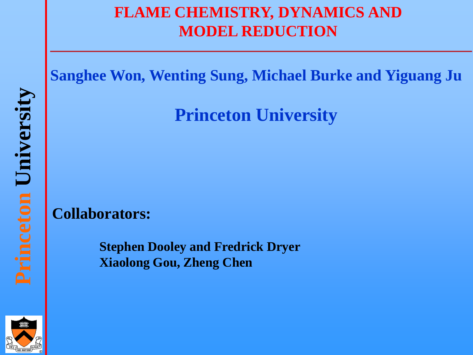#### **FLAME CHEMISTRY, DYNAMICS AND MODEL REDUCTION**

**Sanghee Won, Wenting Sung, Michael Burke and Yiguang Ju**

**Princeton University**

**Collaborators:** 

**Stephen Dooley and Fredrick Dryer Xiaolong Gou, Zheng Chen**

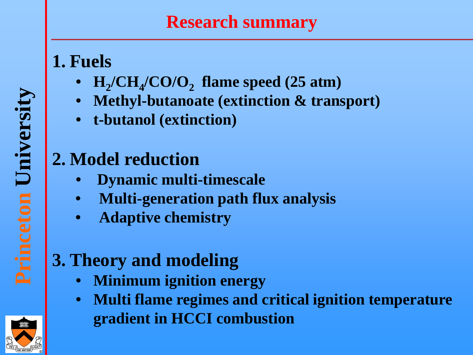#### **Research summary**

#### **1. Fuels**

- $H_2/CH_4/CO/O$ , flame speed  $(25 atm)$
- **Methyl-butanoate (extinction & transport)**
- **t-butanol (extinction)**

## **2. Model reduction**

- **Dynamic multi-timescale**
- **Multi-generation path flux analysis**
- **Adaptive chemistry**

## **3. Theory and modeling**

- **Minimum ignition energy**
- **Multi flame regimes and critical ignition temperature gradient in HCCI combustion**



**Princeton University Princeton University**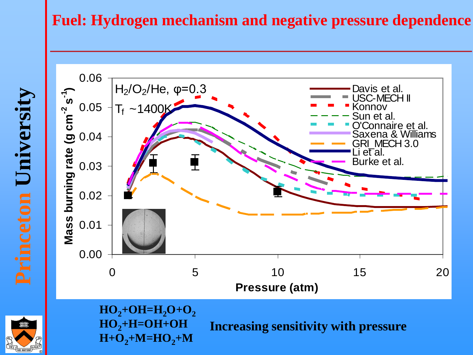#### **Fuel: Hydrogen mechanism and negative pressure dependence**





**Princeton University**

Princeton University

 $HO_2+OH=H_2O+O_2$ **HO2+H=OH+OH**  $H + O_2 + M = HO_2 + M$ 

**Increasing sensitivity with pressure**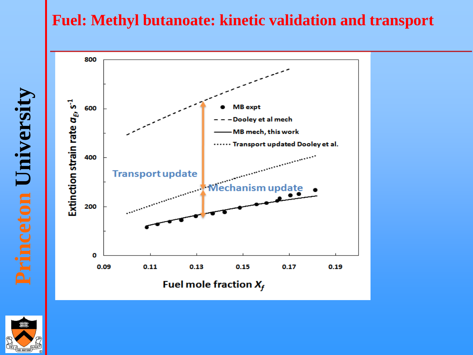#### **Fuel: Methyl butanoate: kinetic validation and transport**



**Princeton University**

**Princeton University**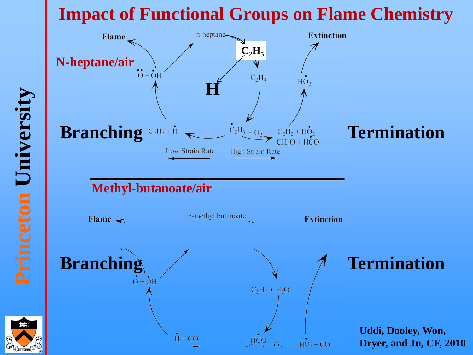#### **Impact of Functional Groups on Flame Chemistry**



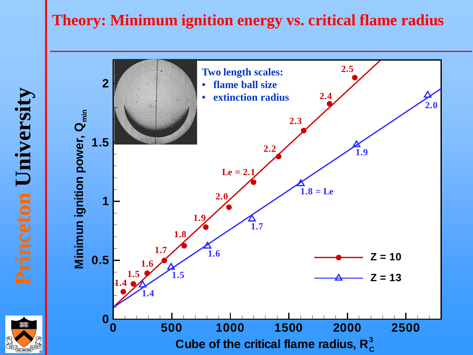#### **Theory: Minimum ignition energy vs. critical flame radius**

**Princeton University** Princeton University

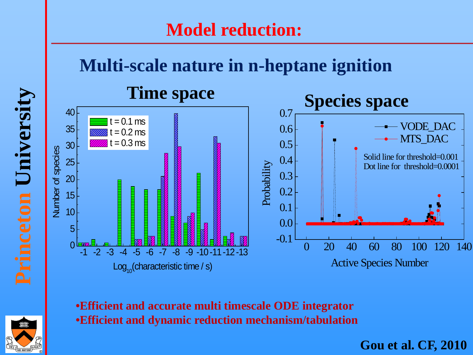#### **Model reduction:**

#### **Multi-scale nature in n-heptane ignition**



•**Efficient and accurate multi timescale ODE integrator** •**Efficient and dynamic reduction mechanism/tabulation**

**Gou et al. CF, 2010**

**Princeton University** Princeton Universi

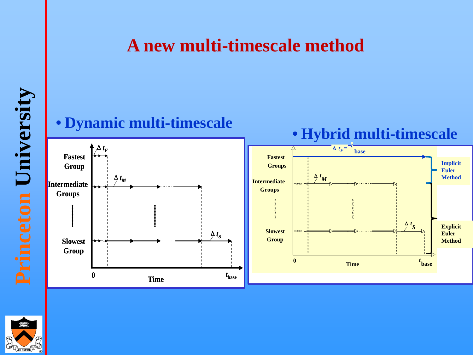#### **A new multi-timescale method**





• **Hybrid multi-timescale**



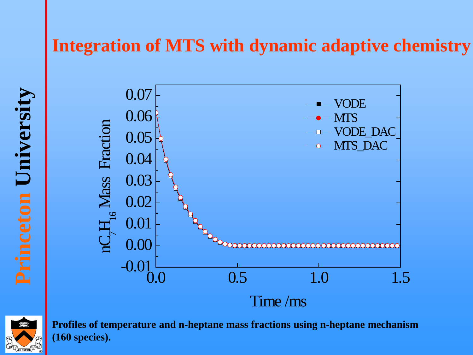#### **Integration of MTS with dynamic adaptive chemistry**





**Profiles of temperature and n-heptane mass fractions using n-heptane mechanism (160 species).**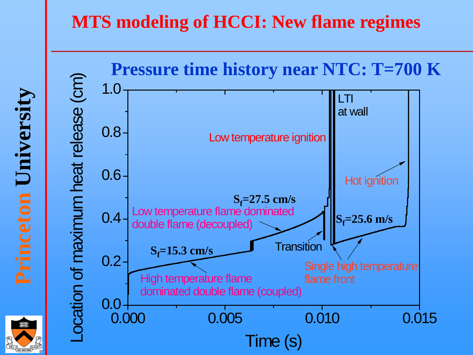#### **MTS modeling of HCCI: New flame regimes**



**Princeton University Princeton University**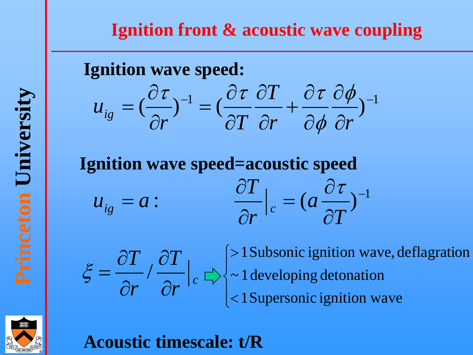**Ignition wave speed:**  

$$
u_{ig} = \left(\frac{\partial \tau}{\partial r}\right)^{-1} = \left(\frac{\partial \tau}{\partial T} \frac{\partial T}{\partial r} + \frac{\partial \tau}{\partial \phi} \frac{\partial \phi}{\partial r}\right)^{-1}
$$

#### :  $\left.\frac{U}{2}\right|_c = \left(a\frac{U}{2L}\right)^{-1}$  $\partial$  $\partial$ =  $\partial$  $\partial$  $u_{i} = a$ : *T a r T*  $u_{ig} = a: \frac{U_1}{2\pi} \Big|_c$  $\tau$ **Ignition wave speed=acoustic speed**

*c r T r T*  $\partial$  $\hat{O}$  $\hat{O}$  $\xi = \frac{\partial T}{\partial \eta}$  $\mathbb{I}$  $\overline{\mathcal{L}}$   $\left\{ \right.$  $\begin{array}{c} \begin{array}{c} \end{array} \end{array}$  $\lt$  $>$ 1 Supersonic ignition wave  $\sim$  1 developing detonation 1 Subsonic ignition wave, deflagration



**Acoustic timescale: t/R**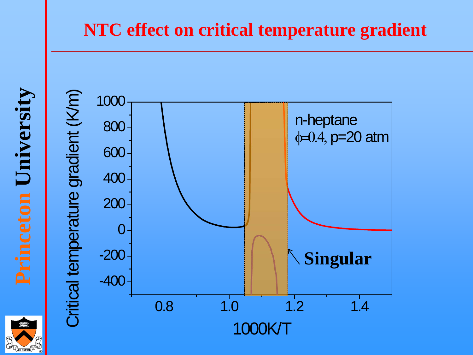## **Princeton University Princeton University**

# Critical temperature gradient (K/m) Critical temperature gradient (K/m)



**NTC effect on critical temperature gradient**